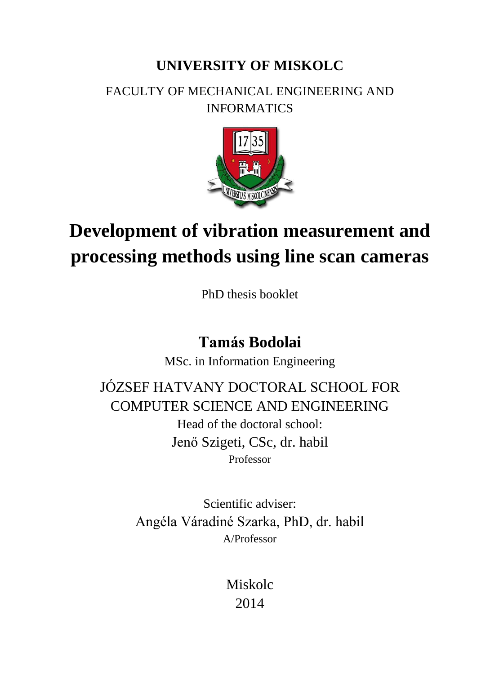## **UNIVERSITY OF MISKOLC**

### FACULTY OF MECHANICAL ENGINEERING AND INFORMATICS



# **Development of vibration measurement and processing methods using line scan cameras**

PhD thesis booklet

## **Tamás Bodolai**

MSc. in Information Engineering

JÓZSEF HATVANY DOCTORAL SCHOOL FOR COMPUTER SCIENCE AND ENGINEERING Head of the doctoral school: Jenő Szigeti, CSc, dr. habil Professor

> Scientific adviser: Angéla Váradiné Szarka, PhD, dr. habil A/Professor

> > Miskolc 2014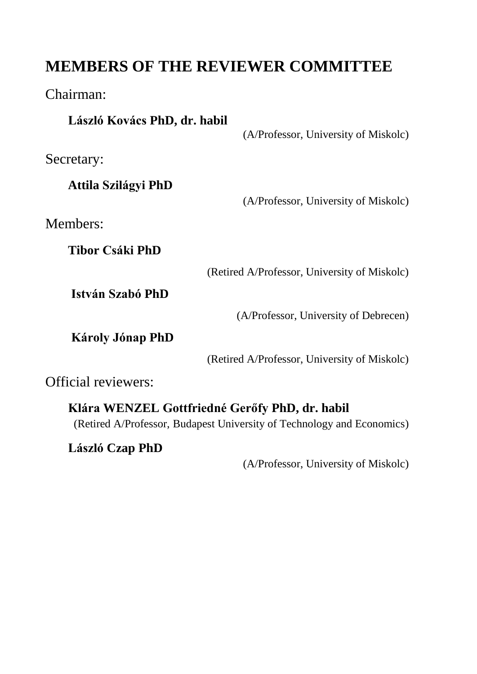## **MEMBERS OF THE REVIEWER COMMITTEE**

Chairman:

| László Kovács PhD, dr. habil |                                                |
|------------------------------|------------------------------------------------|
|                              | (A/Professor, University of Miskolc)           |
| Secretary:                   |                                                |
| Attila Szilágyi PhD          |                                                |
|                              | (A/Professor, University of Miskolc)           |
| Members:                     |                                                |
| Tibor Csáki PhD              |                                                |
|                              | (Retired A/Professor, University of Miskolc)   |
| István Szabó PhD             |                                                |
|                              | (A/Professor, University of Debrecen)          |
| <b>Károly Jónap PhD</b>      |                                                |
|                              | (Retired A/Professor, University of Miskolc)   |
| <b>Official reviewers:</b>   |                                                |
|                              | Klára WENZEL Gottfriedné Gerőfy PhD, dr. habil |

(Retired A/Professor, Budapest University of Technology and Economics)

**László Czap PhD** 

(A/Professor, University of Miskolc)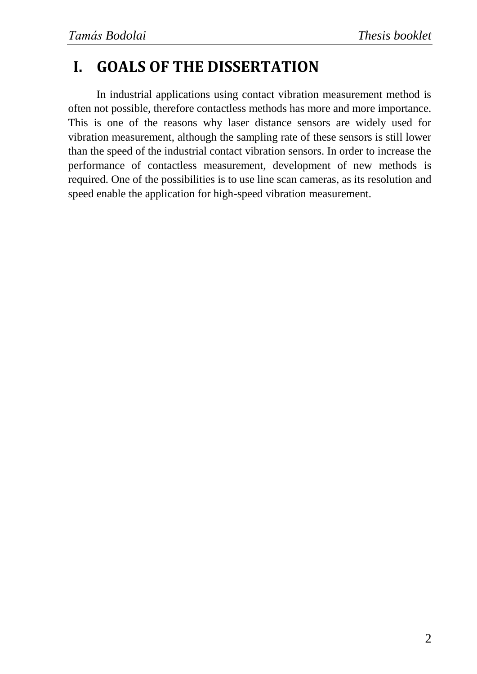## **I. GOALS OF THE DISSERTATION**

In industrial applications using contact vibration measurement method is often not possible, therefore contactless methods has more and more importance. This is one of the reasons why laser distance sensors are widely used for vibration measurement, although the sampling rate of these sensors is still lower than the speed of the industrial contact vibration sensors. In order to increase the performance of contactless measurement, development of new methods is required. One of the possibilities is to use line scan cameras, as its resolution and speed enable the application for high-speed vibration measurement.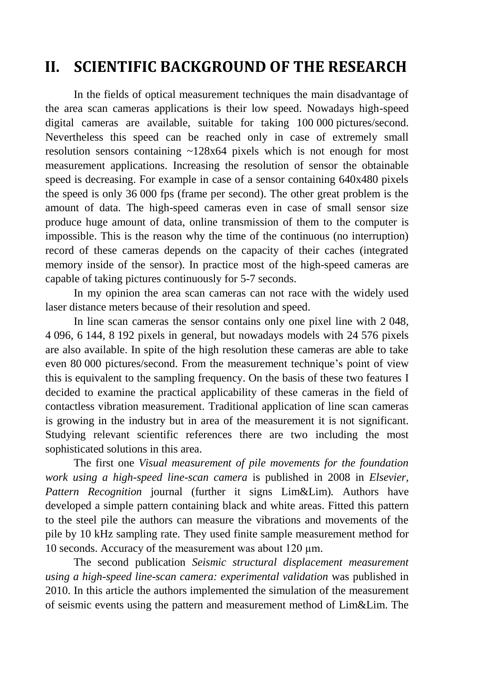## **II. SCIENTIFIC BACKGROUND OF THE RESEARCH**

In the fields of optical measurement techniques the main disadvantage of the area scan cameras applications is their low speed. Nowadays high-speed digital cameras are available, suitable for taking 100 000 pictures/second. Nevertheless this speed can be reached only in case of extremely small resolution sensors containing ~128x64 pixels which is not enough for most measurement applications. Increasing the resolution of sensor the obtainable speed is decreasing. For example in case of a sensor containing 640x480 pixels the speed is only 36 000 fps (frame per second). The other great problem is the amount of data. The high-speed cameras even in case of small sensor size produce huge amount of data, online transmission of them to the computer is impossible. This is the reason why the time of the continuous (no interruption) record of these cameras depends on the capacity of their caches (integrated memory inside of the sensor). In practice most of the high-speed cameras are capable of taking pictures continuously for 5-7 seconds.

In my opinion the area scan cameras can not race with the widely used laser distance meters because of their resolution and speed.

In line scan cameras the sensor contains only one pixel line with 2 048, 4 096, 6 144, 8 192 pixels in general, but nowadays models with 24 576 pixels are also available. In spite of the high resolution these cameras are able to take even 80 000 pictures/second. From the measurement technique's point of view this is equivalent to the sampling frequency. On the basis of these two features I decided to examine the practical applicability of these cameras in the field of contactless vibration measurement. Traditional application of line scan cameras is growing in the industry but in area of the measurement it is not significant. Studying relevant scientific references there are two including the most sophisticated solutions in this area.

The first one *Visual measurement of pile movements for the foundation work using a high-speed line-scan camera* is published in 2008 in *Elsevier, Pattern Recognition* journal (further it signs Lim&Lim)*.* Authors have developed a simple pattern containing black and white areas. Fitted this pattern to the steel pile the authors can measure the vibrations and movements of the pile by 10 kHz sampling rate. They used finite sample measurement method for 10 seconds. Accuracy of the measurement was about 120 µm.

The second publication *Seismic structural displacement measurement using a high-speed line-scan camera: experimental validation* was published in 2010. In this article the authors implemented the simulation of the measurement of seismic events using the pattern and measurement method of Lim&Lim. The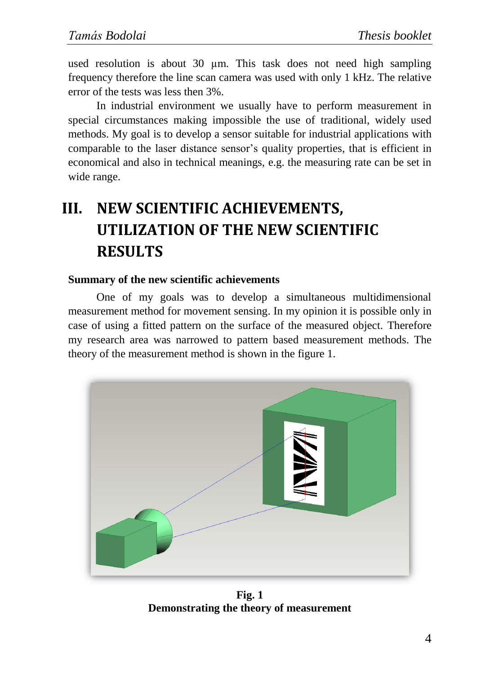used resolution is about 30 µm. This task does not need high sampling frequency therefore the line scan camera was used with only 1 kHz. The relative error of the tests was less then 3%.

In industrial environment we usually have to perform measurement in special circumstances making impossible the use of traditional, widely used methods. My goal is to develop a sensor suitable for industrial applications with comparable to the laser distance sensor's quality properties, that is efficient in economical and also in technical meanings, e.g. the measuring rate can be set in wide range.

## **III. NEW SCIENTIFIC ACHIEVEMENTS, UTILIZATION OF THE NEW SCIENTIFIC RESULTS**

### **Summary of the new scientific achievements**

One of my goals was to develop a simultaneous multidimensional measurement method for movement sensing. In my opinion it is possible only in case of using a fitted pattern on the surface of the measured object. Therefore my research area was narrowed to pattern based measurement methods. The theory of the measurement method is shown in the figure 1.



**Fig. 1 Demonstrating the theory of measurement**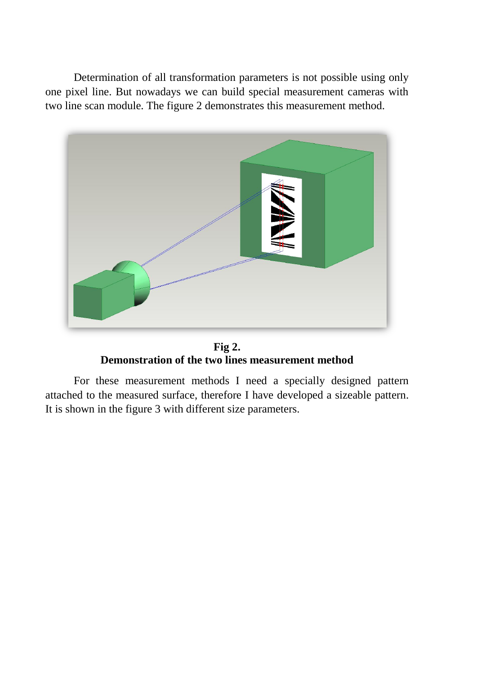Determination of all transformation parameters is not possible using only one pixel line. But nowadays we can build special measurement cameras with two line scan module. The figure 2 demonstrates this measurement method.



**Fig 2. Demonstration of the two lines measurement method**

For these measurement methods I need a specially designed pattern attached to the measured surface, therefore I have developed a sizeable pattern. It is shown in the figure 3 with different size parameters.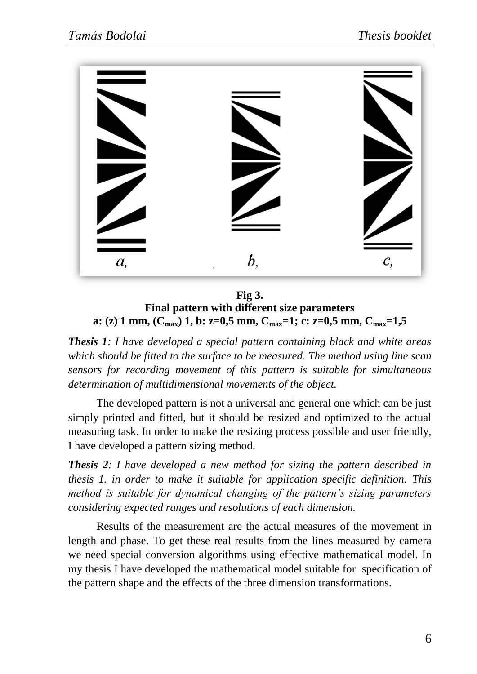

**Fig 3. Final pattern with different size parameters a: (z) 1 mm, (Cmax) 1, b: z=0,5 mm, Cmax=1; c: z=0,5 mm, Cmax=1,5**

*Thesis 1: I have developed a special pattern containing black and white areas which should be fitted to the surface to be measured. The method using line scan sensors for recording movement of this pattern is suitable for simultaneous determination of multidimensional movements of the object.*

The developed pattern is not a universal and general one which can be just simply printed and fitted, but it should be resized and optimized to the actual measuring task. In order to make the resizing process possible and user friendly, I have developed a pattern sizing method.

*Thesis 2: I have developed a new method for sizing the pattern described in thesis 1. in order to make it suitable for application specific definition. This method is suitable for dynamical changing of the pattern's sizing parameters considering expected ranges and resolutions of each dimension.*

Results of the measurement are the actual measures of the movement in length and phase. To get these real results from the lines measured by camera we need special conversion algorithms using effective mathematical model. In my thesis I have developed the mathematical model suitable for specification of the pattern shape and the effects of the three dimension transformations.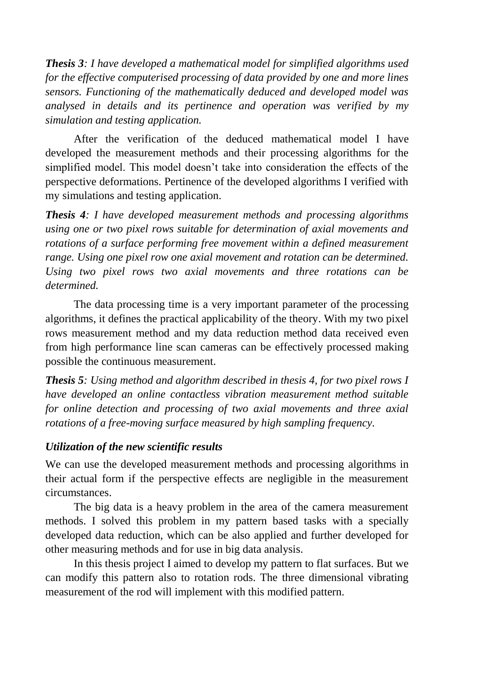*Thesis 3: I have developed a mathematical model for simplified algorithms used for the effective computerised processing of data provided by one and more lines sensors. Functioning of the mathematically deduced and developed model was analysed in details and its pertinence and operation was verified by my simulation and testing application.*

After the verification of the deduced mathematical model I have developed the measurement methods and their processing algorithms for the simplified model. This model doesn't take into consideration the effects of the perspective deformations. Pertinence of the developed algorithms I verified with my simulations and testing application.

*Thesis 4: I have developed measurement methods and processing algorithms using one or two pixel rows suitable for determination of axial movements and rotations of a surface performing free movement within a defined measurement range. Using one pixel row one axial movement and rotation can be determined. Using two pixel rows two axial movements and three rotations can be determined.*

The data processing time is a very important parameter of the processing algorithms, it defines the practical applicability of the theory. With my two pixel rows measurement method and my data reduction method data received even from high performance line scan cameras can be effectively processed making possible the continuous measurement.

*Thesis 5: Using method and algorithm described in thesis 4, for two pixel rows I have developed an online contactless vibration measurement method suitable for online detection and processing of two axial movements and three axial rotations of a free-moving surface measured by high sampling frequency.*

#### *Utilization of the new scientific results*

We can use the developed measurement methods and processing algorithms in their actual form if the perspective effects are negligible in the measurement circumstances.

The big data is a heavy problem in the area of the camera measurement methods. I solved this problem in my pattern based tasks with a specially developed data reduction, which can be also applied and further developed for other measuring methods and for use in big data analysis.

In this thesis project I aimed to develop my pattern to flat surfaces. But we can modify this pattern also to rotation rods. The three dimensional vibrating measurement of the rod will implement with this modified pattern.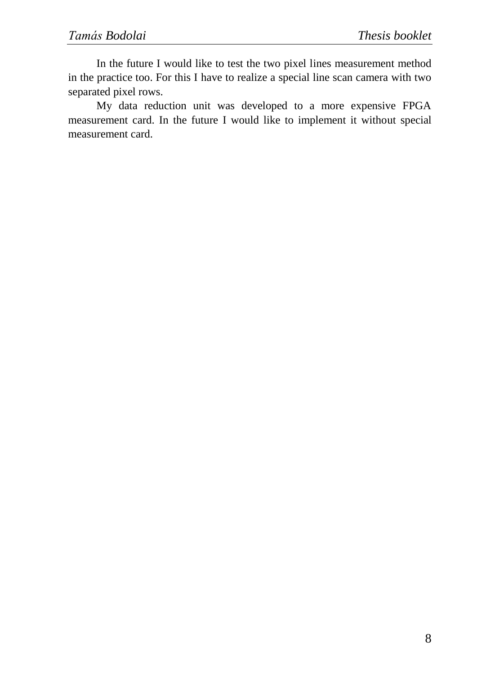In the future I would like to test the two pixel lines measurement method in the practice too. For this I have to realize a special line scan camera with two separated pixel rows.

My data reduction unit was developed to a more expensive FPGA measurement card. In the future I would like to implement it without special measurement card.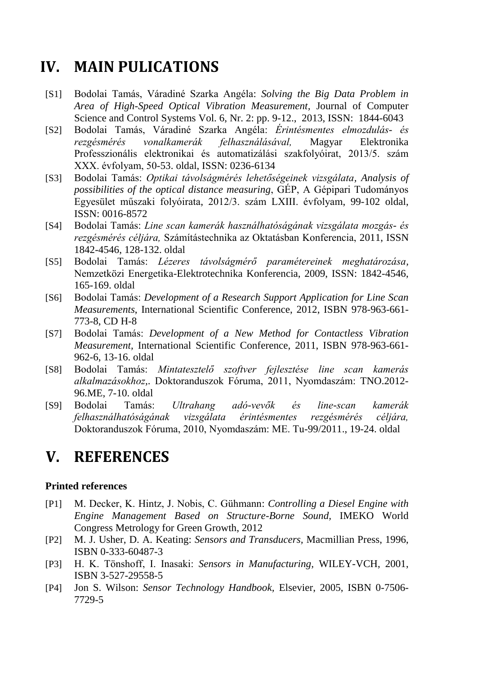### **IV. MAIN PULICATIONS**

- [S1] Bodolai Tamás, Váradiné Szarka Angéla: *Solving the Big Data Problem in Area of High-Speed Optical Vibration Measurement,* Journal of Computer Science and Control Systems Vol. 6, Nr. 2: pp. 9-12., 2013, ISSN: 1844-6043
- [S2] Bodolai Tamás, Váradiné Szarka Angéla: *Érintésmentes elmozdulás- és rezgésmérés vonalkamerák felhasználásával,* Magyar Elektronika Professzionális elektronikai és automatizálási szakfolyóirat, 2013/5. szám XXX. évfolyam, 50-53. oldal, ISSN: 0236-6134
- [S3] Bodolai Tamás: *Optikai távolságmérés lehetőségeinek vizsgálata, Analysis of possibilities of the optical distance measuring*, GÉP, A Gépipari Tudományos Egyesület műszaki folyóirata, 2012/3. szám LXIII. évfolyam, 99-102 oldal, ISSN: 0016-8572
- [S4] Bodolai Tamás: *Line scan kamerák használhatóságának vizsgálata mozgás- és rezgésmérés céljára,* Számítástechnika az Oktatásban Konferencia, 2011, ISSN 1842-4546, 128-132. oldal
- [S5] Bodolai Tamás: *Lézeres távolságmérő paramétereinek meghatározása,* Nemzetközi Energetika-Elektrotechnika Konferencia, 2009, ISSN: 1842-4546, 165-169. oldal
- [S6] Bodolai Tamás: *Development of a Research Support Application for Line Scan Measurements*, International Scientific Conference, 2012, ISBN 978-963-661- 773-8, CD H-8
- [S7] Bodolai Tamás: *Development of a New Method for Contactless Vibration Measurement,* International Scientific Conference, 2011, ISBN 978-963-661- 962-6, 13-16. oldal
- [S8] Bodolai Tamás: *Mintatesztelő szoftver fejlesztése line scan kamerás alkalmazásokhoz,*. Doktoranduszok Fóruma, 2011, Nyomdaszám: TNO.2012- 96.ME, 7-10. oldal
- [S9] Bodolai Tamás: *Ultrahang adó-vevők és line-scan kamerák felhasználhatóságának vizsgálata érintésmentes rezgésmérés céljára,*  Doktoranduszok Fóruma, 2010, Nyomdaszám: ME. Tu-99/2011., 19-24. oldal

### **V. REFERENCES**

#### **Printed references**

- [P1] M. Decker, K. Hintz, J. Nobis, C. Gühmann: *Controlling a Diesel Engine with Engine Management Based on Structure-Borne Sound,* IMEKO World Congress Metrology for Green Growth, 2012
- [P2] M. J. Usher, D. A. Keating: *Sensors and Transducers,* Macmillian Press, 1996, ISBN 0-333-60487-3
- [P3] H. K. Tönshoff, I. Inasaki: *Sensors in Manufacturing,* WILEY-VCH, 2001, ISBN 3-527-29558-5
- [P4] Jon S. Wilson: *Sensor Technology Handbook,* Elsevier, 2005, ISBN 0-7506- 7729-5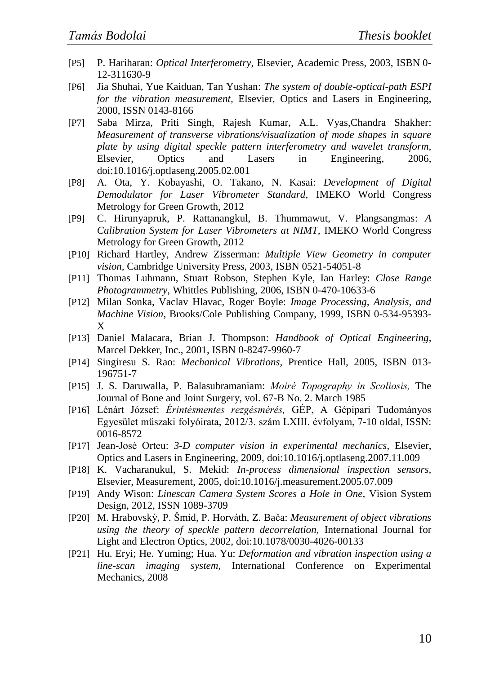- [P5] P. Hariharan: *Optical Interferometry,* Elsevier, Academic Press, 2003, ISBN 0- 12-311630-9
- [P6] Jia Shuhai, Yue Kaiduan, Tan Yushan: *The system of double-optical-path ESPI for the vibration measurement,* Elsevier, Optics and Lasers in Engineering, 2000, ISSN 0143-8166
- [P7] Saba Mirza, Priti Singh, Rajesh Kumar, A.L. Vyas,Chandra Shakher: *Measurement of transverse vibrations/visualization of mode shapes in square plate by using digital speckle pattern interferometry and wavelet transform,* Elsevier, Optics and Lasers in Engineering, 2006, doi:10.1016/j.optlaseng.2005.02.001
- [P8] A. Ota, Y. Kobayashi, O. Takano, N. Kasai: *Development of Digital Demodulator for Laser Vibrometer Standard,* IMEKO World Congress Metrology for Green Growth, 2012
- [P9] C. Hirunyapruk, P. Rattanangkul, B. Thummawut, V. Plangsangmas: *A Calibration System for Laser Vibrometers at NIMT,* IMEKO World Congress Metrology for Green Growth, 2012
- [P10] Richard Hartley, Andrew Zisserman: *Multiple View Geometry in computer vision,* Cambridge University Press, 2003, ISBN 0521-54051-8
- [P11] Thomas Luhmann, Stuart Robson, Stephen Kyle, Ian Harley: *Close Range Photogrammetry,* Whittles Publishing, 2006, ISBN 0-470-10633-6
- [P12] Milan Sonka, Vaclav Hlavac, Roger Boyle: *Image Processing, Analysis, and Machine Vision*, Brooks/Cole Publishing Company, 1999, ISBN 0-534-95393- X
- [P13] Daniel Malacara, Brian J. Thompson: *Handbook of Optical Engineering*, Marcel Dekker, Inc., 2001, ISBN 0-8247-9960-7
- [P14] Singiresu S. Rao: *Mechanical Vibrations,* Prentice Hall, 2005, ISBN 013- 196751-7
- [P15] J. S. Daruwalla, P. Balasubramaniam: *Moiré Topography in Scoliosis,* The Journal of Bone and Joint Surgery, vol. 67-B No. 2. March 1985
- [P16] Lénárt József: *Érintésmentes rezgésmérés,* GÉP, A Gépipari Tudományos Egyesület műszaki folyóirata, 2012/3. szám LXIII. évfolyam, 7-10 oldal, ISSN: 0016-8572
- [P17] Jean-José Orteu: *3-D computer vision in experimental mechanics*, Elsevier, Optics and Lasers in Engineering, 2009, doi:10.1016/j.optlaseng.2007.11.009
- [P18] K. Vacharanukul, S. Mekid: *In-process dimensional inspection sensors,* Elsevier, Measurement, 2005, doi:10.1016/j.measurement.2005.07.009
- [P19] Andy Wison: *Linescan Camera System Scores a Hole in One,* Vision System Design, 2012, ISSN 1089-3709
- [P20] M. Hrabovskỳ, P. Šmíd, P. Horváth, Z. Bača: *Measurement of object vibrations using the theory of speckle pattern decorrelation,* International Journal for Light and Electron Optics, 2002, doi:10.1078/0030-4026-00133
- [P21] Hu. Eryi; He. Yuming; Hua. Yu: *Deformation and vibration inspection using a line-scan imaging system,* International Conference on Experimental Mechanics, 2008